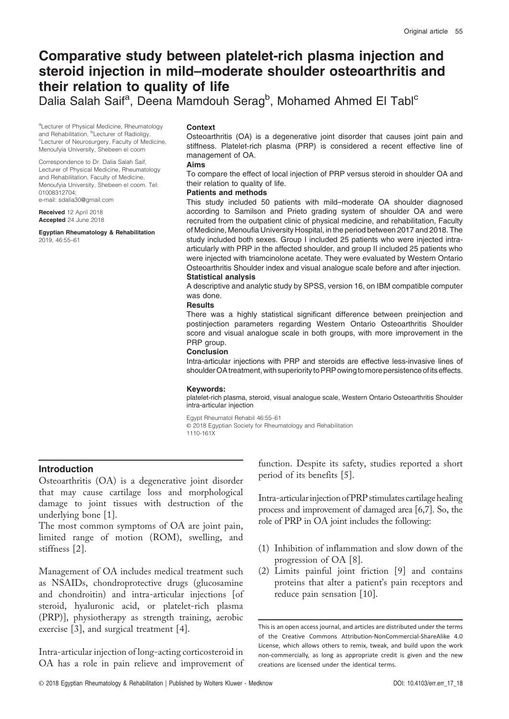# Comparative study between platelet-rich plasma injection and steroid injection in mild–moderate shoulder osteoarthritis and their relation to quality of life

Dalia Salah Saif<sup>a</sup>, Deena Mamdouh Serag<sup>b</sup>, Mohamed Ahmed El Tabl<sup>c</sup>

aLecturer of Physical Medicine, Rheumatology and Rehabilitation, <sup>b</sup>Lecturer of Radioligy, <sup>c</sup>Lecturer of Neurosurgery, Faculty of Medicine, Menoufyia University, Shebeen el coom

Correspondence to Dr. Dalia Salah Saif, Lecturer of Physical Medicine, Rheumatology and Rehabilitation, Faculty of Medicine, Menoufyia University, Shebeen el coom. Tel: 01008312704;

e-mail: [sdalia30@gmail.com](mailto:sdalia30@gmail.com)

Received 12 April 2018 Accepted 24 June 2018

Egyptian Rheumatology & Rehabilitation 2019, 46:55–61

### **Context**

Osteoarthritis (OA) is a degenerative joint disorder that causes joint pain and stiffness. Platelet-rich plasma (PRP) is considered a recent effective line of management of OA.

#### Aims

To compare the effect of local injection of PRP versus steroid in shoulder OA and their relation to quality of life.

# Patients and methods

This study included 50 patients with mild–moderate OA shoulder diagnosed according to Samilson and Prieto grading system of shoulder OA and were recruited from the outpatient clinic of physical medicine, and rehabilitation, Faculty of Medicine, Menoufia University Hospital, in the period between 2017 and 2018. The study included both sexes. Group I included 25 patients who were injected intraarticularly with PRP in the affected shoulder, and group II included 25 patients who were injected with triamcinolone acetate. They were evaluated by Western Ontario Osteoarthritis Shoulder index and visual analogue scale before and after injection.

### Statistical analysis

A descriptive and analytic study by SPSS, version 16, on IBM compatible computer was done.

### **Results**

There was a highly statistical significant difference between preinjection and postinjection parameters regarding Western Ontario Osteoarthritis Shoulder score and visual analogue scale in both groups, with more improvement in the PRP group.

### Conclusion

Intra-articular injections with PRP and steroids are effective less-invasive lines of shoulder OA treatment, with superiority to PRP owing to more persistence of its effects.

#### Keywords:

platelet-rich plasma, steroid, visual analogue scale, Western Ontario Osteoarthritis Shoulder intra-articular injection

Egypt Rheumatol Rehabil 46:55–61

© 2018 Egyptian Society for Rheumatology and Rehabilitation

1110-161X

# Introduction

Osteoarthritis (OA) is a degenerative joint disorder that may cause cartilage loss and morphological damage to joint tissues with destruction of the underlying bone [1].

The most common symptoms of OA are joint pain, limited range of motion (ROM), swelling, and stiffness [2].

Management of OA includes medical treatment such as NSAIDs, chondroprotective drugs (glucosamine and chondroitin) and intra-articular injections [of steroid, hyaluronic acid, or platelet-rich plasma (PRP)], physiotherapy as strength training, aerobic exercise [3], and surgical treatment [4].

Intra-articular injection of long-acting corticosteroid in OA has a role in pain relieve and improvement of function. Despite its safety, studies reported a short period of its benefits [5].

Intra-articularinjectionofPRP stimulates cartilage healing process and improvement of damaged area [6,7]. So, the role of PRP in OA joint includes the following:

- (1) Inhibition of inflammation and slow down of the progression of OA [8].
- (2) Limits painful joint friction [9] and contains proteins that alter a patient's pain receptors and reduce pain sensation [10].

This is an open access journal, and articles are distributed under the terms of the Creative Commons Attribution-NonCommercial-ShareAlike 4.0 License, which allows others to remix, tweak, and build upon the work non-commercially, as long as appropriate credit is given and the new creations are licensed under the identical terms.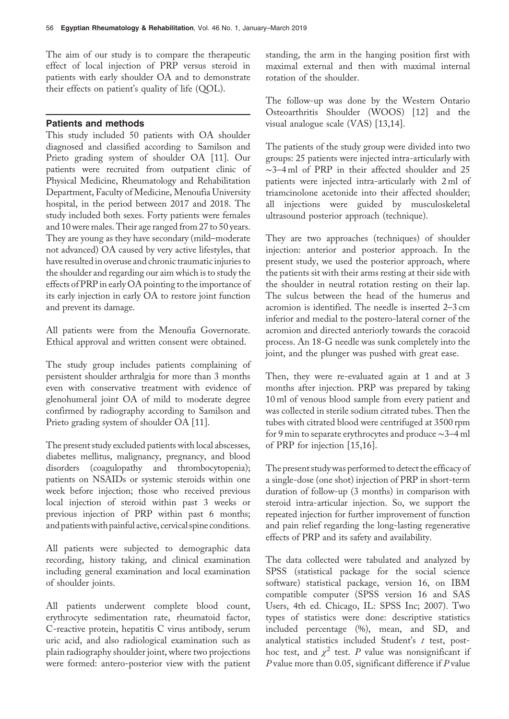The aim of our study is to compare the therapeutic effect of local injection of PRP versus steroid in patients with early shoulder OA and to demonstrate their effects on patient's quality of life (QOL).

## Patients and methods

This study included 50 patients with OA shoulder diagnosed and classified according to Samilson and Prieto grading system of shoulder OA [11]. Our patients were recruited from outpatient clinic of Physical Medicine, Rheumatology and Rehabilitation Department, Faculty of Medicine, Menoufia University hospital, in the period between 2017 and 2018. The study included both sexes. Forty patients were females and 10 were males. Their age ranged from 27 to 50 years. They are young as they have secondary (mild–moderate not advanced) OA caused by very active lifestyles, that have resulted in overuse and chronic traumatic injuries to the shoulder and regarding our aim which is to study the effects of PRP in early OA pointing to the importance of its early injection in early OA to restore joint function and prevent its damage.

All patients were from the Menoufia Governorate. Ethical approval and written consent were obtained.

The study group includes patients complaining of persistent shoulder arthralgia for more than 3 months even with conservative treatment with evidence of glenohumeral joint OA of mild to moderate degree confirmed by radiography according to Samilson and Prieto grading system of shoulder OA [11].

The present study excluded patients with local abscesses, diabetes mellitus, malignancy, pregnancy, and blood disorders (coagulopathy and thrombocytopenia); patients on NSAIDs or systemic steroids within one week before injection; those who received previous local injection of steroid within past 3 weeks or previous injection of PRP within past 6 months; and patientswith painful active, cervical spine conditions.

All patients were subjected to demographic data recording, history taking, and clinical examination including general examination and local examination of shoulder joints.

All patients underwent complete blood count, erythrocyte sedimentation rate, rheumatoid factor, C-reactive protein, hepatitis C virus antibody, serum uric acid, and also radiological examination such as plain radiography shoulder joint, where two projections were formed: antero-posterior view with the patient standing, the arm in the hanging position first with maximal external and then with maximal internal rotation of the shoulder.

The follow-up was done by the Western Ontario Osteoarthritis Shoulder (WOOS) [12] and the visual analogue scale (VAS) [13,14].

The patients of the study group were divided into two groups: 25 patients were injected intra-articularly with ∼3–4 ml of PRP in their affected shoulder and 25 patients were injected intra-articularly with 2 ml of triamcinolone acetonide into their affected shoulder; all injections were guided by musculoskeletal ultrasound posterior approach (technique).

They are two approaches (techniques) of shoulder injection: anterior and posterior approach. In the present study, we used the posterior approach, where the patients sit with their arms resting at their side with the shoulder in neutral rotation resting on their lap. The sulcus between the head of the humerus and acromion is identified. The needle is inserted 2–3 cm inferior and medial to the postero-lateral corner of the acromion and directed anteriorly towards the coracoid process. An 18-G needle was sunk completely into the joint, and the plunger was pushed with great ease.

Then, they were re-evaluated again at 1 and at 3 months after injection. PRP was prepared by taking 10 ml of venous blood sample from every patient and was collected in sterile sodium citrated tubes. Then the tubes with citrated blood were centrifuged at 3500 rpm for 9 min to separate erythrocytes and produce ∼3–4 ml of PRP for injection [15,16].

The present studywas performed to detect the efficacy of a single-dose (one shot) injection of PRP in short-term duration of follow-up (3 months) in comparison with steroid intra-articular injection. So, we support the repeated injection for further improvement of function and pain relief regarding the long-lasting regenerative effects of PRP and its safety and availability.

The data collected were tabulated and analyzed by SPSS (statistical package for the social science software) statistical package, version 16, on IBM compatible computer (SPSS version 16 and SAS Users, 4th ed. Chicago, IL: SPSS Inc; 2007). Two types of statistics were done: descriptive statistics included percentage (%), mean, and SD, and analytical statistics included Student's  $t$  test, posthoc test, and  $\chi^2$  test. P value was nonsignificant if P value more than 0.05, significant difference if P value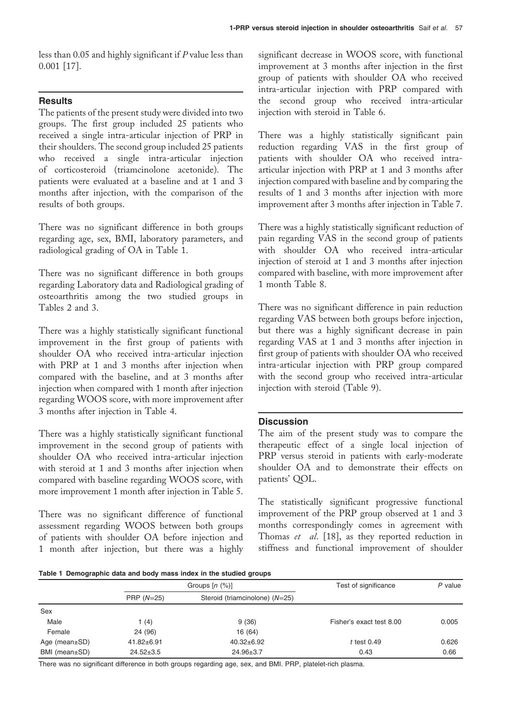less than 0.05 and highly significant if P value less than 0.001 [17].

# **Results**

The patients of the present study were divided into two groups. The first group included 25 patients who received a single intra-articular injection of PRP in their shoulders. The second group included 25 patients who received a single intra-articular injection of corticosteroid (triamcinolone acetonide). The patients were evaluated at a baseline and at 1 and 3 months after injection, with the comparison of the results of both groups.

There was no significant difference in both groups regarding age, sex, BMI, laboratory parameters, and radiological grading of OA in Table 1.

There was no significant difference in both groups regarding Laboratory data and Radiological grading of osteoarthritis among the two studied groups in Tables 2 and 3.

There was a highly statistically significant functional improvement in the first group of patients with shoulder OA who received intra-articular injection with PRP at 1 and 3 months after injection when compared with the baseline, and at 3 months after injection when compared with 1 month after injection regarding WOOS score, with more improvement after 3 months after injection in Table 4.

There was a highly statistically significant functional improvement in the second group of patients with shoulder OA who received intra-articular injection with steroid at 1 and 3 months after injection when compared with baseline regarding WOOS score, with more improvement 1 month after injection in Table 5.

There was no significant difference of functional assessment regarding WOOS between both groups of patients with shoulder OA before injection and 1 month after injection, but there was a highly

significant decrease in WOOS score, with functional improvement at 3 months after injection in the first group of patients with shoulder OA who received intra-articular injection with PRP compared with the second group who received intra-articular injection with steroid in Table 6.

There was a highly statistically significant pain reduction regarding VAS in the first group of patients with shoulder OA who received intraarticular injection with PRP at 1 and 3 months after injection compared with baseline and by comparing the results of 1 and 3 months after injection with more improvement after 3 months after injection in Table 7.

There was a highly statistically significant reduction of pain regarding VAS in the second group of patients with shoulder OA who received intra-articular injection of steroid at 1 and 3 months after injection compared with baseline, with more improvement after 1 month Table 8.

There was no significant difference in pain reduction regarding VAS between both groups before injection, but there was a highly significant decrease in pain regarding VAS at 1 and 3 months after injection in first group of patients with shoulder OA who received intra-articular injection with PRP group compared with the second group who received intra-articular injection with steroid (Table 9).

# **Discussion**

The aim of the present study was to compare the therapeutic effect of a single local injection of PRP versus steroid in patients with early-moderate shoulder OA and to demonstrate their effects on patients' QOL.

The statistically significant progressive functional improvement of the PRP group observed at 1 and 3 months correspondingly comes in agreement with Thomas et al. [18], as they reported reduction in stiffness and functional improvement of shoulder

Table 1 Demographic data and body mass index in the studied groups

|                     |                  | Groups $[n \ (\%)]$            | Test of significance     | $P$ value |
|---------------------|------------------|--------------------------------|--------------------------|-----------|
|                     | PRP $(N=25)$     | Steroid (triamcinolone) (N=25) |                          |           |
| Sex                 |                  |                                |                          |           |
| Male                | 1 (4)            | 9(36)                          | Fisher's exact test 8.00 | 0.005     |
| Female              | 24 (96)          | 16 (64)                        |                          |           |
| Age (mean $\pm$ SD) | $41.82 \pm 6.91$ | $40.32 \pm 6.92$               | $t$ test 0.49            | 0.626     |
| BMI (mean±SD)       | $24.52 \pm 3.5$  | $24.96 \pm 3.7$                | 0.43                     | 0.66      |

There was no significant difference in both groups regarding age, sex, and BMI. PRP, platelet-rich plasma.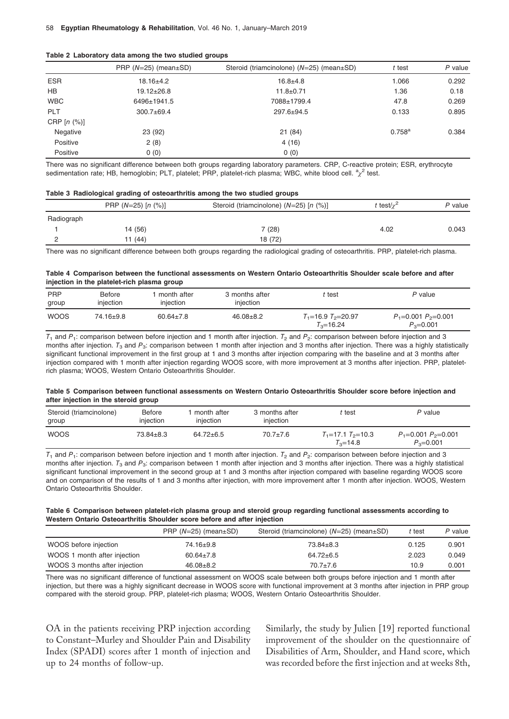| Table 2 Laboratory data among the two studied groups |  |  |  |  |
|------------------------------------------------------|--|--|--|--|
|------------------------------------------------------|--|--|--|--|

|            | PRP $(N=25)$ (mean $\pm$ SD) | Steroid (triamcinolone) (N=25) (mean±SD) | t test      | $P$ value |
|------------|------------------------------|------------------------------------------|-------------|-----------|
| <b>ESR</b> | $18.16{\pm}4.2$              | $16.8 + 4.8$                             | 1.066       | 0.292     |
| HB         | $19.12 \pm 26.8$             | $11.8 \pm 0.71$                          | 1.36        | 0.18      |
| <b>WBC</b> | 6496±1941.5                  | 7088±1799.4                              | 47.8        | 0.269     |
| PLT        | $300.7 \pm 69.4$             | $297.6 \pm 94.5$                         | 0.133       | 0.895     |
| CRP[n (%)] |                              |                                          |             |           |
| Negative   | 23 (92)                      | 21(84)                                   | $0.758^{a}$ | 0.384     |
| Positive   | 2(8)                         | 4(16)                                    |             |           |
| Positive   | 0(0)                         | 0(0)                                     |             |           |

There was no significant difference between both groups regarding laboratory parameters. CRP, C-reactive protein; ESR, erythrocyte sedimentation rate; HB, hemoglobin; PLT, platelet; PRP, platelet-rich plasma; WBC, white blood cell.  ${}^a\!\chi^2$  test.

#### Table 3 Radiological grading of osteoarthritis among the two studied groups

|            | PRP $(N=25)$ [n $(\%)$ ] | Steroid (triamcinolone) $(N=25)$ [n $(\%)$ ] | t test/ $\chi^2$ | P value |
|------------|--------------------------|----------------------------------------------|------------------|---------|
| Radiograph |                          |                                              |                  |         |
|            | 14 (56)                  | 7 (28)                                       | 4.02             | 0.043   |
|            | 11 (44)                  | 18 (72)                                      |                  |         |

There was no significant difference between both groups regarding the radiological grading of osteoarthritis. PRP, platelet-rich plasma.

### Table 4 Comparison between the functional assessments on Western Ontario Osteoarthritis Shoulder scale before and after injection in the platelet-rich plasma group

| <b>PRP</b><br>group | <b>Before</b><br>injection | month after<br>injection | 3 months after<br>injection | t test                                    | P value                                    |
|---------------------|----------------------------|--------------------------|-----------------------------|-------------------------------------------|--------------------------------------------|
| <b>WOOS</b>         | 74.16±9.8                  | $60.64 \pm 7.8$          | $46.08 \pm 8.2$             | $T_1 = 16.9 T_2 = 20.97$<br>$T_3 = 16.24$ | $P_1 = 0.001 P_2 = 0.001$<br>$P_3 = 0.001$ |

 $T_1$  and  $P_1$ : comparison between before injection and 1 month after injection.  $T_2$  and  $P_2$ : comparison between before injection and 3 months after injection.  $T_3$  and  $P_3$ : comparison between 1 month after injection and 3 months after injection. There was a highly statistically significant functional improvement in the first group at 1 and 3 months after injection comparing with the baseline and at 3 months after injection compared with 1 month after injection regarding WOOS score, with more improvement at 3 months after injection. PRP, plateletrich plasma; WOOS, Western Ontario Osteoarthritis Shoulder.

### Table 5 Comparison between functional assessments on Western Ontario Osteoarthritis Shoulder score before injection and after injection in the steroid group

| Steroid (triamcinolone)<br>group | <b>Before</b><br>iniection | month after<br>injection | 3 months after<br>injection | ˈtest                                     | P value                                    |
|----------------------------------|----------------------------|--------------------------|-----------------------------|-------------------------------------------|--------------------------------------------|
| <b>WOOS</b>                      | $73.84 \pm 8.3$            | $64.72 \pm 6.5$          | $70.7 \pm 7.6$              | $T_1$ =17.1 $T_2$ =10.3<br>$T_{3} = 14.8$ | $P_1 = 0.001 P_2 = 0.001$<br>$P_3 = 0.001$ |

 $T_1$  and  $P_1$ : comparison between before injection and 1 month after injection.  $T_2$  and  $P_2$ : comparison between before injection and 3 months after injection.  $T_3$  and  $P_3$ : comparison between 1 month after injection and 3 months after injection. There was a highly statistical significant functional improvement in the second group at 1 and 3 months after injection compared with baseline regarding WOOS score and on comparison of the results of 1 and 3 months after injection, with more improvement after 1 month after injection. WOOS, Western Ontario Osteoarthritis Shoulder.

### Table 6 Comparison between platelet-rich plasma group and steroid group regarding functional assessments according to Western Ontario Osteoarthritis Shoulder score before and after injection

|                               | PRP $(N=25)$ (mean $\pm$ SD) | Steroid (triamcinolone) (N=25) (mean±SD) | t test | P value |
|-------------------------------|------------------------------|------------------------------------------|--------|---------|
| WOOS before injection         | 74.16±9.8                    | $73.84 \pm 8.3$                          | 0.125  | 0.901   |
| WOOS 1 month after injection  | $60.64 \pm 7.8$              | $64.72 \pm 6.5$                          | 2.023  | 0.049   |
| WOOS 3 months after injection | $46.08 \pm 8.2$              | $70.7 \pm 7.6$                           | 10.9   | 0.001   |

There was no significant difference of functional assessment on WOOS scale between both groups before injection and 1 month after injection, but there was a highly significant decrease in WOOS score with functional improvement at 3 months after injection in PRP group compared with the steroid group. PRP, platelet-rich plasma; WOOS, Western Ontario Osteoarthritis Shoulder.

OA in the patients receiving PRP injection according to Constant–Murley and Shoulder Pain and Disability Index (SPADI) scores after 1 month of injection and up to 24 months of follow-up.

Similarly, the study by Julien [19] reported functional improvement of the shoulder on the questionnaire of Disabilities of Arm, Shoulder, and Hand score, which was recorded before the first injection and at weeks 8th,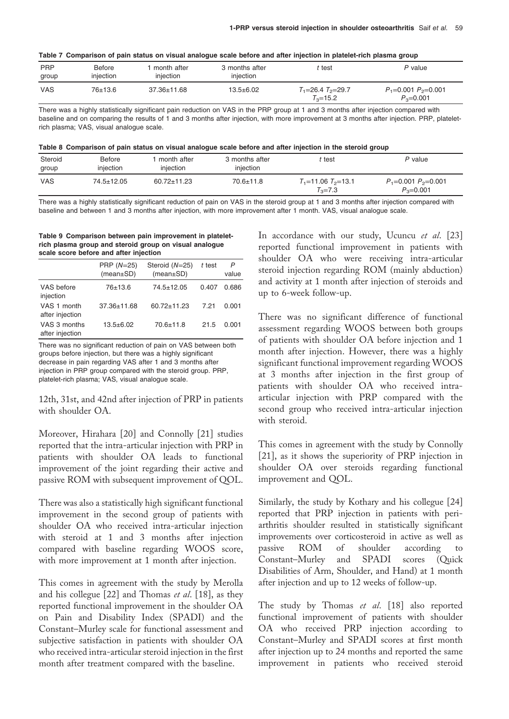|  |  | Table 7 Comparison of pain status on visual analogue scale before and after injection in platelet-rich plasma group |  |  |
|--|--|---------------------------------------------------------------------------------------------------------------------|--|--|
|  |  |                                                                                                                     |  |  |

| <b>PRP</b><br>group | Before<br>injection | month after<br>injection | 3 months after<br>injection | t test                                    | P value                                    |
|---------------------|---------------------|--------------------------|-----------------------------|-------------------------------------------|--------------------------------------------|
| <b>VAS</b>          | 76±13.6             | $37.36 \pm 11.68$        | $13.5 + 6.02$               | $T_1 = 26.4$ $T_2 = 29.7$<br>$T_2 = 15.2$ | $P_1 = 0.001 P_2 = 0.001$<br>$P_3 = 0.001$ |

There was a highly statistically significant pain reduction on VAS in the PRP group at 1 and 3 months after injection compared with baseline and on comparing the results of 1 and 3 months after injection, with more improvement at 3 months after injection. PRP, plateletrich plasma; VAS, visual analogue scale.

|  | Table 8 Comparison of pain status on visual analogue scale before and after injection in the steroid group |  |
|--|------------------------------------------------------------------------------------------------------------|--|
|--|------------------------------------------------------------------------------------------------------------|--|

| Steroid<br>group | Before<br>injection | month after<br>injection | 3 months after<br>injection | t test                                    | P value                                    |
|------------------|---------------------|--------------------------|-----------------------------|-------------------------------------------|--------------------------------------------|
| <b>VAS</b>       | $74.5 \pm 12.05$    | $60.72 \pm 11.23$        | $70.6 \pm 11.8$             | $T_1$ =11.06 $T_2$ =13.1<br>$T_{3} = 7.3$ | $P_1 = 0.001 P_2 = 0.001$<br>$P_2 = 0.001$ |

There was a highly statistically significant reduction of pain on VAS in the steroid group at 1 and 3 months after injection compared with baseline and between 1 and 3 months after injection, with more improvement after 1 month. VAS, visual analogue scale.

Table 9 Comparison between pain improvement in plateletrich plasma group and steroid group on visual analogue scale score before and after injection

|                                 | PRP $(N=25)$<br>(mean±SD) | Steroid $(N=25)$<br>$(mean \pm SD)$ | t test | P<br>value |
|---------------------------------|---------------------------|-------------------------------------|--------|------------|
| VAS before<br>injection         | 76±13.6                   | $74.5 \pm 12.05$                    | 0.407  | 0.686      |
| VAS 1 month<br>after injection  | $37.36 \pm 11.68$         | $60.72 \pm 11.23$                   | 7.21   | 0.001      |
| VAS 3 months<br>after injection | $13.5 + 6.02$             | $70.6 + 11.8$                       | 21.5   | 0.001      |

There was no significant reduction of pain on VAS between both groups before injection, but there was a highly significant decrease in pain regarding VAS after 1 and 3 months after injection in PRP group compared with the steroid group. PRP, platelet-rich plasma; VAS, visual analogue scale.

12th, 31st, and 42nd after injection of PRP in patients with shoulder OA.

Moreover, Hirahara [20] and Connolly [21] studies reported that the intra-articular injection with PRP in patients with shoulder OA leads to functional improvement of the joint regarding their active and passive ROM with subsequent improvement of QOL.

There was also a statistically high significant functional improvement in the second group of patients with shoulder OA who received intra-articular injection with steroid at 1 and 3 months after injection compared with baseline regarding WOOS score, with more improvement at 1 month after injection.

This comes in agreement with the study by Merolla and his collegue  $[22]$  and Thomas et al.  $[18]$ , as they reported functional improvement in the shoulder OA on Pain and Disability Index (SPADI) and the Constant–Murley scale for functional assessment and subjective satisfaction in patients with shoulder OA who received intra-articular steroid injection in the first month after treatment compared with the baseline.

In accordance with our study, Ucuncu et al. [23] reported functional improvement in patients with shoulder OA who were receiving intra-articular steroid injection regarding ROM (mainly abduction) and activity at 1 month after injection of steroids and up to 6-week follow-up.

There was no significant difference of functional assessment regarding WOOS between both groups of patients with shoulder OA before injection and 1 month after injection. However, there was a highly significant functional improvement regarding WOOS at 3 months after injection in the first group of patients with shoulder OA who received intraarticular injection with PRP compared with the second group who received intra-articular injection with steroid.

This comes in agreement with the study by Connolly [21], as it shows the superiority of PRP injection in shoulder OA over steroids regarding functional improvement and QOL.

Similarly, the study by Kothary and his collegue [24] reported that PRP injection in patients with periarthritis shoulder resulted in statistically significant improvements over corticosteroid in active as well as passive ROM of shoulder according to Constant–Murley and SPADI scores (Quick Disabilities of Arm, Shoulder, and Hand) at 1 month after injection and up to 12 weeks of follow-up.

The study by Thomas et al. [18] also reported functional improvement of patients with shoulder OA who received PRP injection according to Constant–Murley and SPADI scores at first month after injection up to 24 months and reported the same improvement in patients who received steroid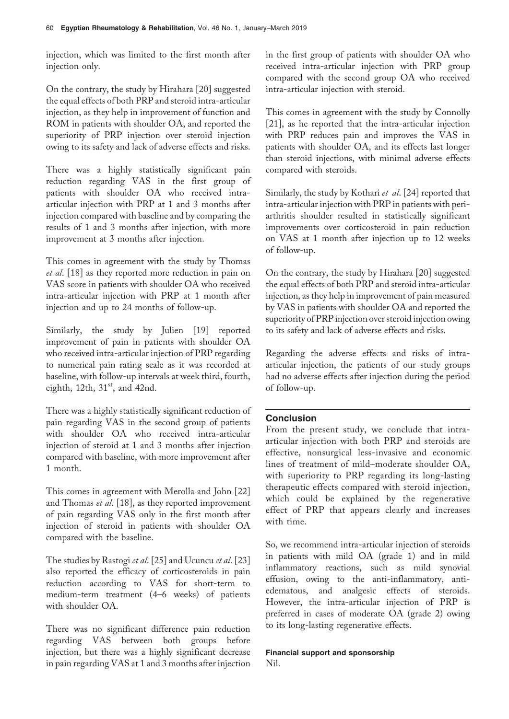injection, which was limited to the first month after injection only.

On the contrary, the study by Hirahara [20] suggested the equal effects of both PRP and steroid intra-articular injection, as they help in improvement of function and ROM in patients with shoulder OA, and reported the superiority of PRP injection over steroid injection owing to its safety and lack of adverse effects and risks.

There was a highly statistically significant pain reduction regarding VAS in the first group of patients with shoulder OA who received intraarticular injection with PRP at 1 and 3 months after injection compared with baseline and by comparing the results of 1 and 3 months after injection, with more improvement at 3 months after injection.

This comes in agreement with the study by Thomas et al. [18] as they reported more reduction in pain on VAS score in patients with shoulder OA who received intra-articular injection with PRP at 1 month after injection and up to 24 months of follow-up.

Similarly, the study by Julien [19] reported improvement of pain in patients with shoulder OA who received intra-articular injection of PRP regarding to numerical pain rating scale as it was recorded at baseline, with follow-up intervals at week third, fourth, eighth,  $12th$ ,  $31<sup>st</sup>$ , and  $42nd$ .

There was a highly statistically significant reduction of pain regarding VAS in the second group of patients with shoulder OA who received intra-articular injection of steroid at 1 and 3 months after injection compared with baseline, with more improvement after 1 month.

This comes in agreement with Merolla and John [22] and Thomas et al. [18], as they reported improvement of pain regarding VAS only in the first month after injection of steroid in patients with shoulder OA compared with the baseline.

The studies by Rastogi *et al.* [25] and Ucuncu *et al.* [23] also reported the efficacy of corticosteroids in pain reduction according to VAS for short-term to medium-term treatment (4–6 weeks) of patients with shoulder OA.

There was no significant difference pain reduction regarding VAS between both groups before injection, but there was a highly significant decrease in pain regarding VAS at 1 and 3 months after injection in the first group of patients with shoulder OA who received intra-articular injection with PRP group compared with the second group OA who received intra-articular injection with steroid.

This comes in agreement with the study by Connolly [21], as he reported that the intra-articular injection with PRP reduces pain and improves the VAS in patients with shoulder OA, and its effects last longer than steroid injections, with minimal adverse effects compared with steroids.

Similarly, the study by Kothari et al. [24] reported that intra-articular injection with PRP in patients with periarthritis shoulder resulted in statistically significant improvements over corticosteroid in pain reduction on VAS at 1 month after injection up to 12 weeks of follow-up.

On the contrary, the study by Hirahara [20] suggested the equal effects of both PRP and steroid intra-articular injection, as they help in improvement of pain measured by VAS in patients with shoulder OA and reported the superiority of PRP injection over steroid injection owing to its safety and lack of adverse effects and risks.

Regarding the adverse effects and risks of intraarticular injection, the patients of our study groups had no adverse effects after injection during the period of follow-up.

# **Conclusion**

From the present study, we conclude that intraarticular injection with both PRP and steroids are effective, nonsurgical less-invasive and economic lines of treatment of mild–moderate shoulder OA, with superiority to PRP regarding its long-lasting therapeutic effects compared with steroid injection, which could be explained by the regenerative effect of PRP that appears clearly and increases with time.

So, we recommend intra-articular injection of steroids in patients with mild OA (grade 1) and in mild inflammatory reactions, such as mild synovial effusion, owing to the anti-inflammatory, antiedematous, and analgesic effects of steroids. However, the intra-articular injection of PRP is preferred in cases of moderate OA (grade 2) owing to its long-lasting regenerative effects.

### Financial support and sponsorship Nil.